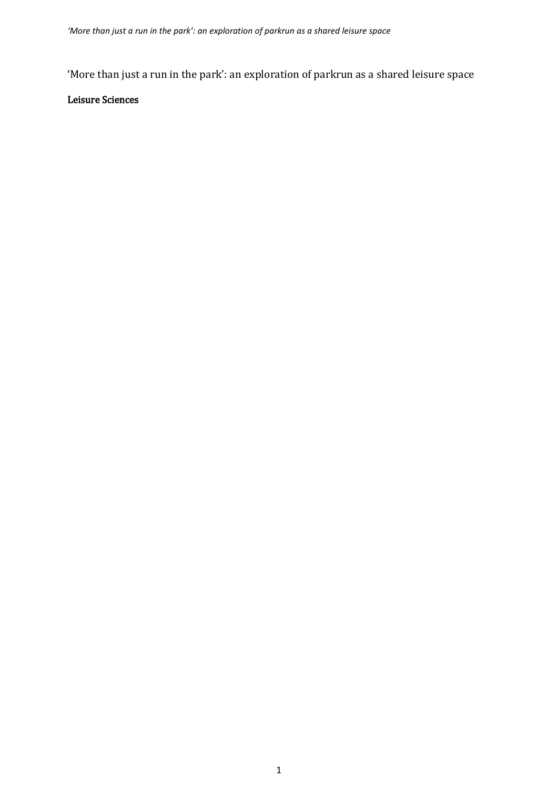'More than just a run in the park': an exploration of parkrun as a shared leisure space

# Leisure Sciences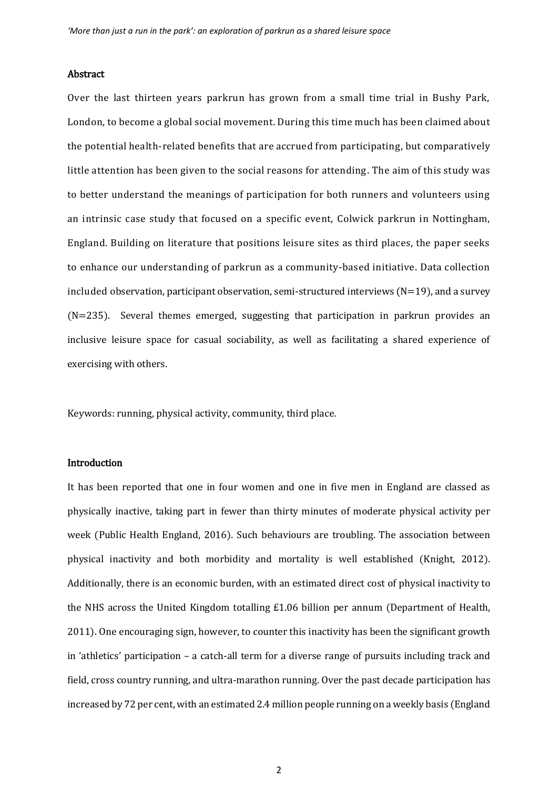#### Abstract

Over the last thirteen years parkrun has grown from a small time trial in Bushy Park, London, to become a global social movement. During this time much has been claimed about the potential health-related benefits that are accrued from participating, but comparatively little attention has been given to the social reasons for attending. The aim of this study was to better understand the meanings of participation for both runners and volunteers using an intrinsic case study that focused on a specific event, Colwick parkrun in Nottingham, England. Building on literature that positions leisure sites as third places, the paper seeks to enhance our understanding of parkrun as a community-based initiative. Data collection included observation, participant observation, semi-structured interviews  $(N=19)$ , and a survey (N=235). Several themes emerged, suggesting that participation in parkrun provides an inclusive leisure space for casual sociability, as well as facilitating a shared experience of exercising with others.

Keywords: running, physical activity, community, third place.

# Introduction

It has been reported that one in four women and one in five men in England are classed as physically inactive, taking part in fewer than thirty minutes of moderate physical activity per week (Public Health England, 2016). Such behaviours are troubling. The association between physical inactivity and both morbidity and mortality is well established (Knight, 2012). Additionally, there is an economic burden, with an estimated direct cost of physical inactivity to the NHS across the United Kingdom totalling £1.06 billion per annum (Department of Health, 2011). One encouraging sign, however, to counter this inactivity has been the significant growth in 'athletics' participation – a catch-all term for a diverse range of pursuits including track and field, cross country running, and ultra-marathon running. Over the past decade participation has increased by 72 per cent, with an estimated 2.4 million people running on a weekly basis (England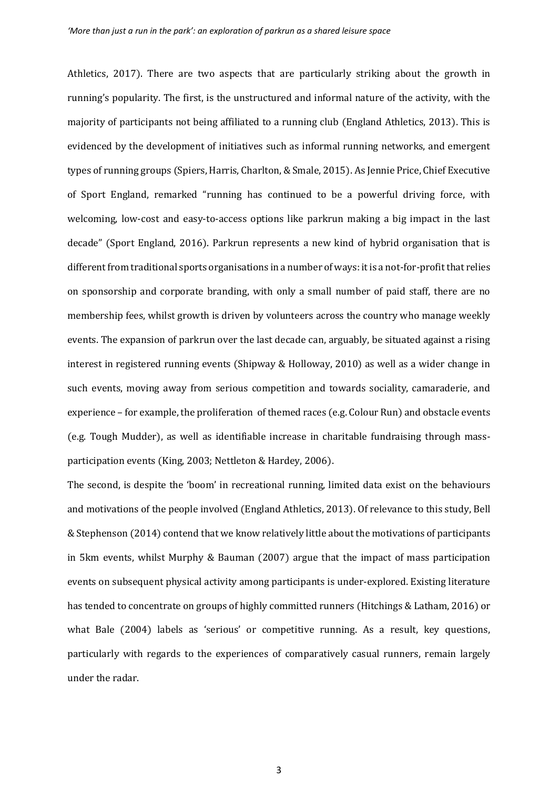Athletics, 2017). There are two aspects that are particularly striking about the growth in running's popularity. The first, is the unstructured and informal nature of the activity, with the majority of participants not being affiliated to a running club (England Athletics, 2013). This is evidenced by the development of initiatives such as informal running networks, and emergent types of running groups (Spiers, Harris, Charlton, & Smale, 2015). As Jennie Price, Chief Executive of Sport England, remarked "running has continued to be a powerful driving force, with welcoming, low-cost and easy-to-access options like parkrun making a big impact in the last decade" (Sport England, 2016). Parkrun represents a new kind of hybrid organisation that is different from traditional sports organisations in a number of ways: it is a not-for-profit that relies on sponsorship and corporate branding, with only a small number of paid staff, there are no membership fees, whilst growth is driven by volunteers across the country who manage weekly events. The expansion of parkrun over the last decade can, arguably, be situated against a rising interest in registered running events (Shipway & Holloway, 2010) as well as a wider change in such events, moving away from serious competition and towards sociality, camaraderie, and experience – for example, the proliferation of themed races (e.g. Colour Run) and obstacle events (e.g. Tough Mudder), as well as identifiable increase in charitable fundraising through massparticipation events (King, 2003; Nettleton & Hardey, 2006).

The second, is despite the 'boom' in recreational running, limited data exist on the behaviours and motivations of the people involved (England Athletics, 2013). Of relevance to this study, Bell & Stephenson (2014) contend that we know relatively little about the motivations of participants in 5km events, whilst Murphy & Bauman (2007) argue that the impact of mass participation events on subsequent physical activity among participants is under-explored. Existing literature has tended to concentrate on groups of highly committed runners (Hitchings & Latham, 2016) or what Bale (2004) labels as 'serious' or competitive running. As a result, key questions, particularly with regards to the experiences of comparatively casual runners, remain largely under the radar.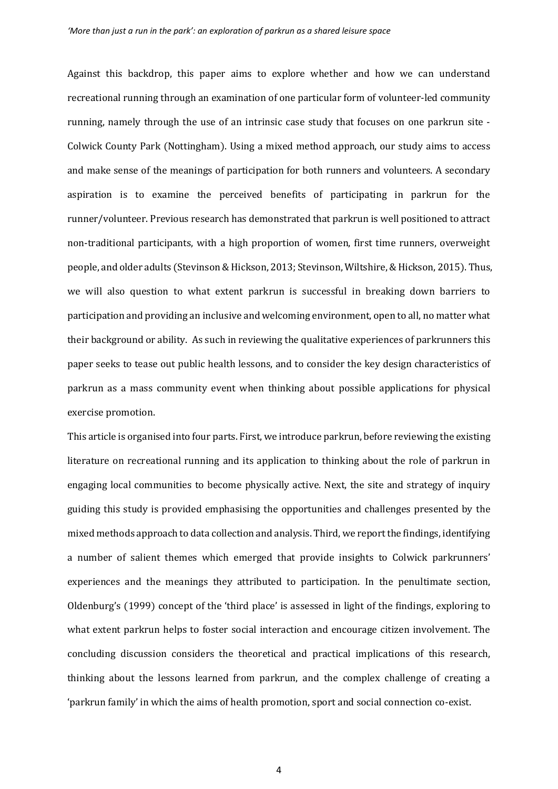Against this backdrop, this paper aims to explore whether and how we can understand recreational running through an examination of one particular form of volunteer-led community running, namely through the use of an intrinsic case study that focuses on one parkrun site - Colwick County Park (Nottingham). Using a mixed method approach, our study aims to access and make sense of the meanings of participation for both runners and volunteers. A secondary aspiration is to examine the perceived benefits of participating in parkrun for the runner/volunteer. Previous research has demonstrated that parkrun is well positioned to attract non-traditional participants, with a high proportion of women, first time runners, overweight people, and older adults (Stevinson & Hickson, 2013; Stevinson, Wiltshire, & Hickson, 2015). Thus, we will also question to what extent parkrun is successful in breaking down barriers to participation and providing an inclusive and welcoming environment, open to all, no matter what their background or ability. As such in reviewing the qualitative experiences of parkrunners this paper seeks to tease out public health lessons, and to consider the key design characteristics of parkrun as a mass community event when thinking about possible applications for physical exercise promotion.

This article is organised into four parts. First, we introduce parkrun, before reviewing the existing literature on recreational running and its application to thinking about the role of parkrun in engaging local communities to become physically active. Next, the site and strategy of inquiry guiding this study is provided emphasising the opportunities and challenges presented by the mixed methods approach to data collection and analysis. Third, we report the findings, identifying a number of salient themes which emerged that provide insights to Colwick parkrunners' experiences and the meanings they attributed to participation. In the penultimate section, Oldenburg's (1999) concept of the 'third place' is assessed in light of the findings, exploring to what extent parkrun helps to foster social interaction and encourage citizen involvement. The concluding discussion considers the theoretical and practical implications of this research, thinking about the lessons learned from parkrun, and the complex challenge of creating a 'parkrun family' in which the aims of health promotion, sport and social connection co-exist.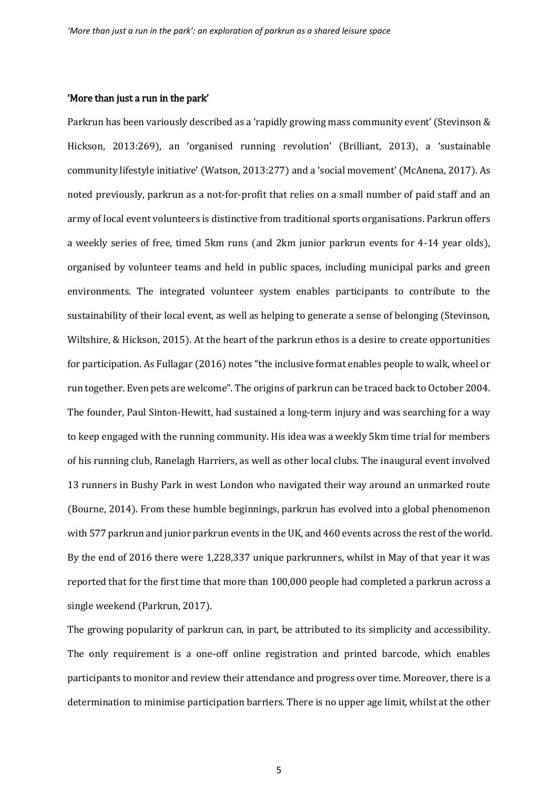#### 'More than just a run in the park'

Parkrun has been variously described as a 'rapidly growing mass community event' (Stevinson & Hickson, 2013:269), an 'organised running revolution' (Brilliant, 2013), a 'sustainable community lifestyle initiative' (Watson, 2013:277) and a 'social movement' (McAnena, 2017). As noted previously, parkrun as a not-for-profit that relies on a small number of paid staff and an army of local event volunteers is distinctive from traditional sports organisations. Parkrun offers a weekly series of free, timed 5km runs (and 2km junior parkrun events for 4-14 year olds), organised by volunteer teams and held in public spaces, including municipal parks and green environments. The integrated volunteer system enables participants to contribute to the sustainability of their local event, as well as helping to generate a sense of belonging (Stevinson, Wiltshire, & Hickson, 2015). At the heart of the parkrun ethos is a desire to create opportunities for participation. As Fullagar (2016) notes "the inclusive format enables people to walk, wheel or run together. Even pets are welcome". The origins of parkrun can be traced back to October 2004. The founder, Paul Sinton-Hewitt, had sustained a long-term injury and was searching for a way to keep engaged with the running community. His idea was a weekly 5km time trial for members of his running club, Ranelagh Harriers, as well as other local clubs. The inaugural event involved 13 runners in Bushy Park in west London who navigated their way around an unmarked route (Bourne, 2014). From these humble beginnings, parkrun has evolved into a global phenomenon with 577 parkrun and junior parkrun events in the UK, and 460 events across the rest of the world. By the end of 2016 there were 1,228,337 unique parkrunners, whilst in May of that year it was reported that for the first time that more than 100,000 people had completed a parkrun across a single weekend (Parkrun, 2017).

The growing popularity of parkrun can, in part, be attributed to its simplicity and accessibility. The only requirement is a one-off online registration and printed barcode, which enables participants to monitor and review their attendance and progress over time. Moreover, there is a determination to minimise participation barriers. There is no upper age limit, whilst at the other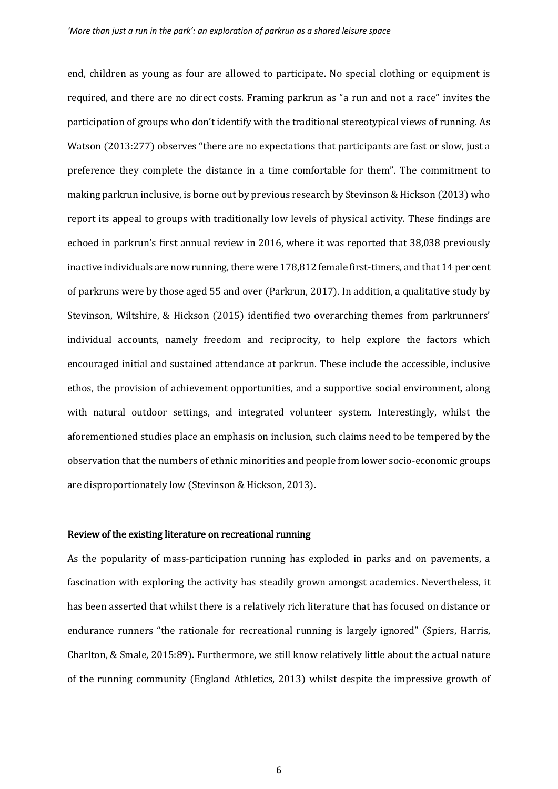end, children as young as four are allowed to participate. No special clothing or equipment is required, and there are no direct costs. Framing parkrun as "a run and not a race" invites the participation of groups who don't identify with the traditional stereotypical views of running. As Watson (2013:277) observes "there are no expectations that participants are fast or slow, just a preference they complete the distance in a time comfortable for them". The commitment to making parkrun inclusive, is borne out by previous research by Stevinson & Hickson (2013) who report its appeal to groups with traditionally low levels of physical activity. These findings are echoed in parkrun's first annual review in 2016, where it was reported that 38,038 previously inactive individuals are now running, there were 178,812 female first-timers, and that 14 per cent of parkruns were by those aged 55 and over (Parkrun, 2017). In addition, a qualitative study by Stevinson, Wiltshire, & Hickson (2015) identified two overarching themes from parkrunners' individual accounts, namely freedom and reciprocity, to help explore the factors which encouraged initial and sustained attendance at parkrun. These include the accessible, inclusive ethos, the provision of achievement opportunities, and a supportive social environment, along with natural outdoor settings, and integrated volunteer system. Interestingly, whilst the aforementioned studies place an emphasis on inclusion, such claims need to be tempered by the observation that the numbers of ethnic minorities and people from lower socio-economic groups are disproportionately low (Stevinson & Hickson, 2013).

# Review of the existing literature on recreational running

As the popularity of mass-participation running has exploded in parks and on pavements, a fascination with exploring the activity has steadily grown amongst academics. Nevertheless, it has been asserted that whilst there is a relatively rich literature that has focused on distance or endurance runners "the rationale for recreational running is largely ignored" (Spiers, Harris, Charlton, & Smale, 2015:89). Furthermore, we still know relatively little about the actual nature of the running community (England Athletics, 2013) whilst despite the impressive growth of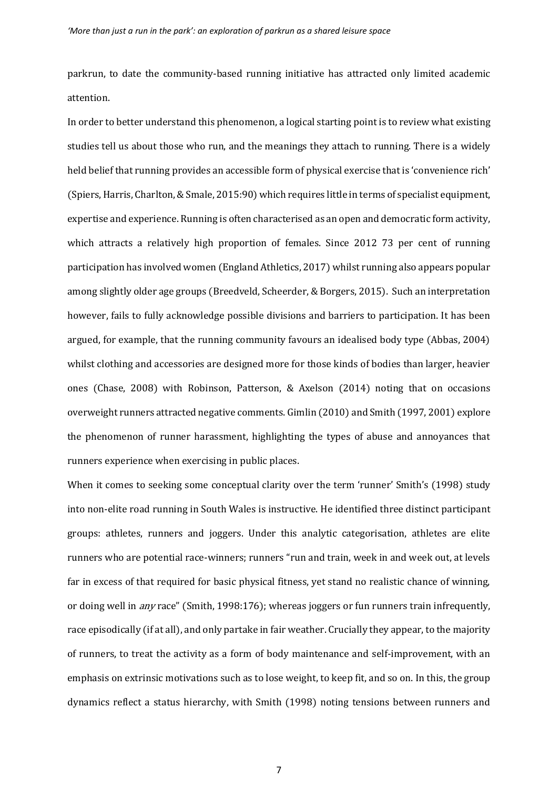parkrun, to date the community-based running initiative has attracted only limited academic attention.

In order to better understand this phenomenon, a logical starting point is to review what existing studies tell us about those who run, and the meanings they attach to running. There is a widely held belief that running provides an accessible form of physical exercise that is 'convenience rich' (Spiers, Harris, Charlton, & Smale, 2015:90) which requires little in terms of specialist equipment, expertise and experience. Running is often characterised as an open and democratic form activity, which attracts a relatively high proportion of females. Since 2012 73 per cent of running participation has involved women (England Athletics, 2017) whilst running also appears popular among slightly older age groups (Breedveld, Scheerder, & Borgers, 2015). Such an interpretation however, fails to fully acknowledge possible divisions and barriers to participation. It has been argued, for example, that the running community favours an idealised body type (Abbas, 2004) whilst clothing and accessories are designed more for those kinds of bodies than larger, heavier ones (Chase, 2008) with Robinson, Patterson, & Axelson (2014) noting that on occasions overweight runners attracted negative comments. Gimlin (2010) and Smith (1997, 2001) explore the phenomenon of runner harassment, highlighting the types of abuse and annoyances that runners experience when exercising in public places.

When it comes to seeking some conceptual clarity over the term 'runner' Smith's (1998) study into non-elite road running in South Wales is instructive. He identified three distinct participant groups: athletes, runners and joggers. Under this analytic categorisation, athletes are elite runners who are potential race-winners; runners "run and train, week in and week out, at levels far in excess of that required for basic physical fitness, yet stand no realistic chance of winning, or doing well in *any* race" (Smith, 1998:176); whereas joggers or fun runners train infrequently, race episodically (if at all), and only partake in fair weather. Crucially they appear, to the majority of runners, to treat the activity as a form of body maintenance and self-improvement, with an emphasis on extrinsic motivations such as to lose weight, to keep fit, and so on. In this, the group dynamics reflect a status hierarchy, with Smith (1998) noting tensions between runners and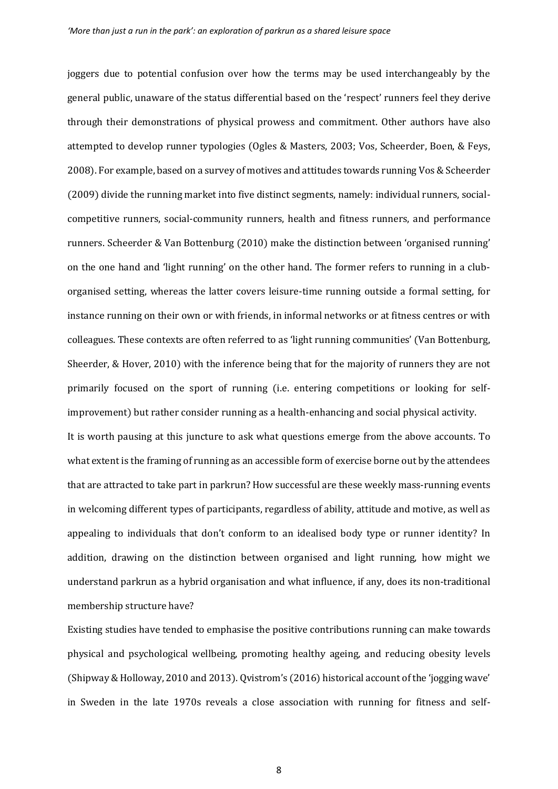joggers due to potential confusion over how the terms may be used interchangeably by the general public, unaware of the status differential based on the 'respect' runners feel they derive through their demonstrations of physical prowess and commitment. Other authors have also attempted to develop runner typologies (Ogles & Masters, 2003; Vos, Scheerder, Boen, & Feys, 2008). For example, based on a survey of motives and attitudes towards running Vos & Scheerder (2009) divide the running market into five distinct segments, namely: individual runners, socialcompetitive runners, social-community runners, health and fitness runners, and performance runners. Scheerder & Van Bottenburg (2010) make the distinction between 'organised running' on the one hand and 'light running' on the other hand. The former refers to running in a cluborganised setting, whereas the latter covers leisure-time running outside a formal setting, for instance running on their own or with friends, in informal networks or at fitness centres or with colleagues. These contexts are often referred to as 'light running communities' (Van Bottenburg, Sheerder, & Hover, 2010) with the inference being that for the majority of runners they are not primarily focused on the sport of running (i.e. entering competitions or looking for selfimprovement) but rather consider running as a health-enhancing and social physical activity.

It is worth pausing at this juncture to ask what questions emerge from the above accounts. To what extent is the framing of running as an accessible form of exercise borne out by the attendees that are attracted to take part in parkrun? How successful are these weekly mass-running events in welcoming different types of participants, regardless of ability, attitude and motive, as well as appealing to individuals that don't conform to an idealised body type or runner identity? In addition, drawing on the distinction between organised and light running, how might we understand parkrun as a hybrid organisation and what influence, if any, does its non-traditional membership structure have?

Existing studies have tended to emphasise the positive contributions running can make towards physical and psychological wellbeing, promoting healthy ageing, and reducing obesity levels (Shipway & Holloway, 2010 and 2013). Qvistrom's (2016) historical account of the 'jogging wave' in Sweden in the late 1970s reveals a close association with running for fitness and self-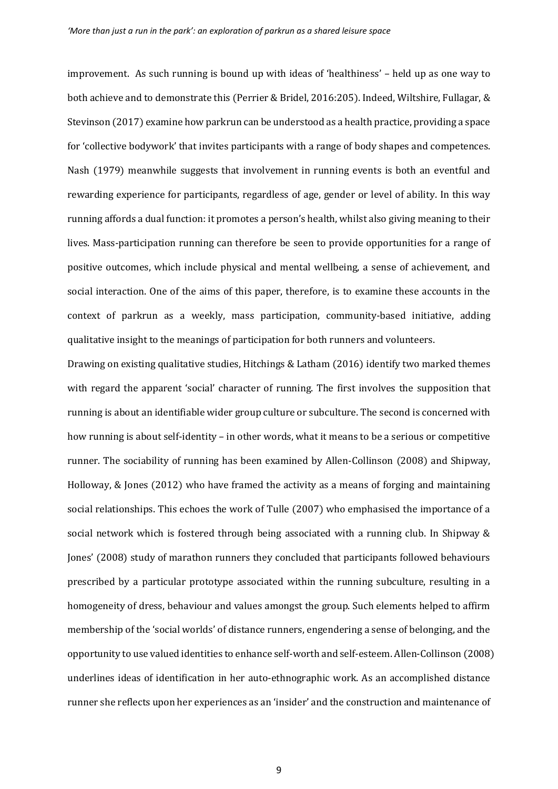improvement. As such running is bound up with ideas of 'healthiness' – held up as one way to both achieve and to demonstrate this (Perrier & Bridel, 2016:205). Indeed, Wiltshire, Fullagar, & Stevinson (2017) examine how parkrun can be understood as a health practice, providing a space for 'collective bodywork' that invites participants with a range of body shapes and competences. Nash (1979) meanwhile suggests that involvement in running events is both an eventful and rewarding experience for participants, regardless of age, gender or level of ability. In this way running affords a dual function: it promotes a person's health, whilst also giving meaning to their lives. Mass-participation running can therefore be seen to provide opportunities for a range of positive outcomes, which include physical and mental wellbeing, a sense of achievement, and social interaction. One of the aims of this paper, therefore, is to examine these accounts in the context of parkrun as a weekly, mass participation, community-based initiative, adding qualitative insight to the meanings of participation for both runners and volunteers.

Drawing on existing qualitative studies, Hitchings & Latham (2016) identify two marked themes with regard the apparent 'social' character of running. The first involves the supposition that running is about an identifiable wider group culture or subculture. The second is concerned with how running is about self-identity – in other words, what it means to be a serious or competitive runner. The sociability of running has been examined by Allen-Collinson (2008) and Shipway, Holloway, & Jones (2012) who have framed the activity as a means of forging and maintaining social relationships. This echoes the work of Tulle (2007) who emphasised the importance of a social network which is fostered through being associated with a running club. In Shipway & Jones' (2008) study of marathon runners they concluded that participants followed behaviours prescribed by a particular prototype associated within the running subculture, resulting in a homogeneity of dress, behaviour and values amongst the group. Such elements helped to affirm membership of the 'social worlds' of distance runners, engendering a sense of belonging, and the opportunity to use valued identities to enhance self-worth and self-esteem. Allen-Collinson (2008) underlines ideas of identification in her auto-ethnographic work. As an accomplished distance runner she reflects upon her experiences as an 'insider' and the construction and maintenance of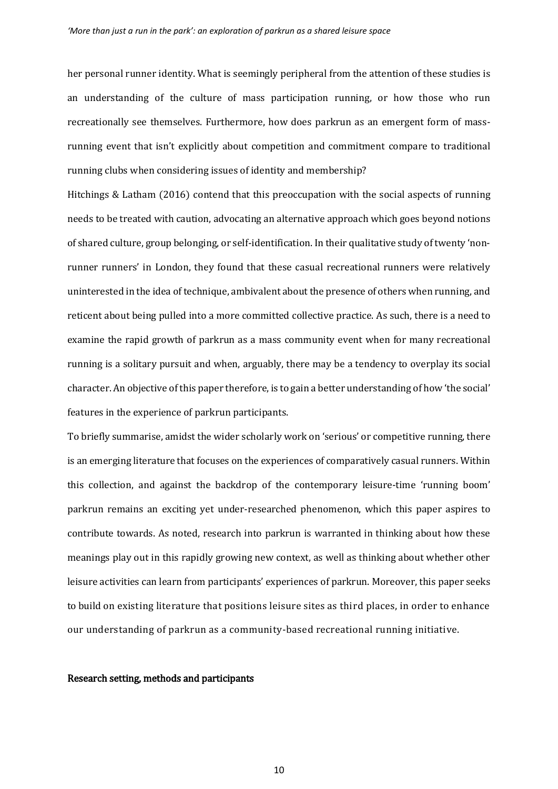her personal runner identity. What is seemingly peripheral from the attention of these studies is an understanding of the culture of mass participation running, or how those who run recreationally see themselves. Furthermore, how does parkrun as an emergent form of massrunning event that isn't explicitly about competition and commitment compare to traditional running clubs when considering issues of identity and membership?

Hitchings & Latham (2016) contend that this preoccupation with the social aspects of running needs to be treated with caution, advocating an alternative approach which goes beyond notions of shared culture, group belonging, or self-identification. In their qualitative study of twenty 'nonrunner runners' in London, they found that these casual recreational runners were relatively uninterested in the idea of technique, ambivalent about the presence of others when running, and reticent about being pulled into a more committed collective practice. As such, there is a need to examine the rapid growth of parkrun as a mass community event when for many recreational running is a solitary pursuit and when, arguably, there may be a tendency to overplay its social character. An objective of this paper therefore, is to gain a better understanding of how 'the social' features in the experience of parkrun participants.

To briefly summarise, amidst the wider scholarly work on 'serious' or competitive running, there is an emerging literature that focuses on the experiences of comparatively casual runners. Within this collection, and against the backdrop of the contemporary leisure-time 'running boom' parkrun remains an exciting yet under-researched phenomenon, which this paper aspires to contribute towards. As noted, research into parkrun is warranted in thinking about how these meanings play out in this rapidly growing new context, as well as thinking about whether other leisure activities can learn from participants' experiences of parkrun. Moreover, this paper seeks to build on existing literature that positions leisure sites as third places, in order to enhance our understanding of parkrun as a community-based recreational running initiative.

# Research setting, methods and participants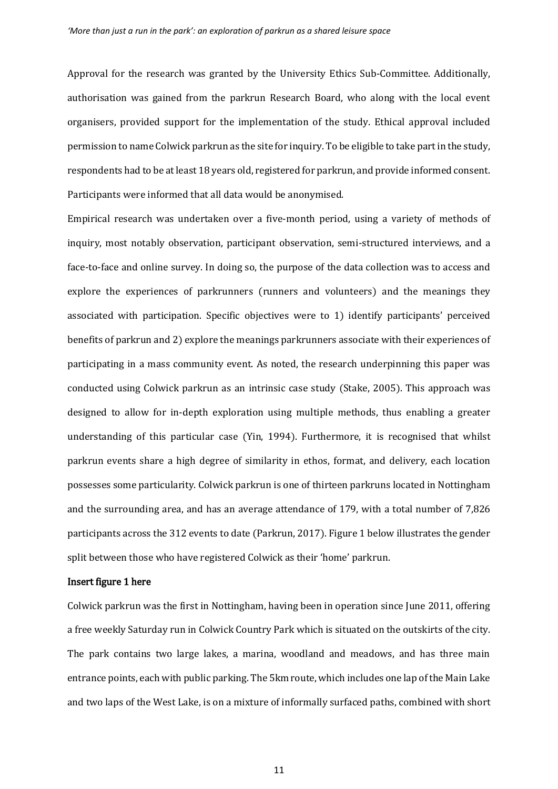Approval for the research was granted by the University Ethics Sub-Committee. Additionally, authorisation was gained from the parkrun Research Board, who along with the local event organisers, provided support for the implementation of the study. Ethical approval included permission to name Colwick parkrun as the site for inquiry. To be eligible to take part in the study, respondents had to be at least 18 years old, registered for parkrun, and provide informed consent. Participants were informed that all data would be anonymised.

Empirical research was undertaken over a five-month period, using a variety of methods of inquiry, most notably observation, participant observation, semi-structured interviews, and a face-to-face and online survey. In doing so, the purpose of the data collection was to access and explore the experiences of parkrunners (runners and volunteers) and the meanings they associated with participation. Specific objectives were to 1) identify participants' perceived benefits of parkrun and 2) explore the meanings parkrunners associate with their experiences of participating in a mass community event. As noted, the research underpinning this paper was conducted using Colwick parkrun as an intrinsic case study (Stake, 2005). This approach was designed to allow for in-depth exploration using multiple methods, thus enabling a greater understanding of this particular case (Yin, 1994). Furthermore, it is recognised that whilst parkrun events share a high degree of similarity in ethos, format, and delivery, each location possesses some particularity. Colwick parkrun is one of thirteen parkruns located in Nottingham and the surrounding area, and has an average attendance of 179, with a total number of 7,826 participants across the 312 events to date (Parkrun, 2017). Figure 1 below illustrates the gender split between those who have registered Colwick as their 'home' parkrun.

# Insert figure 1 here

Colwick parkrun was the first in Nottingham, having been in operation since June 2011, offering a free weekly Saturday run in Colwick Country Park which is situated on the outskirts of the city. The park contains two large lakes, a marina, woodland and meadows, and has three main entrance points, each with public parking. The 5km route, which includes one lap of the Main Lake and two laps of the West Lake, is on a mixture of informally surfaced paths, combined with short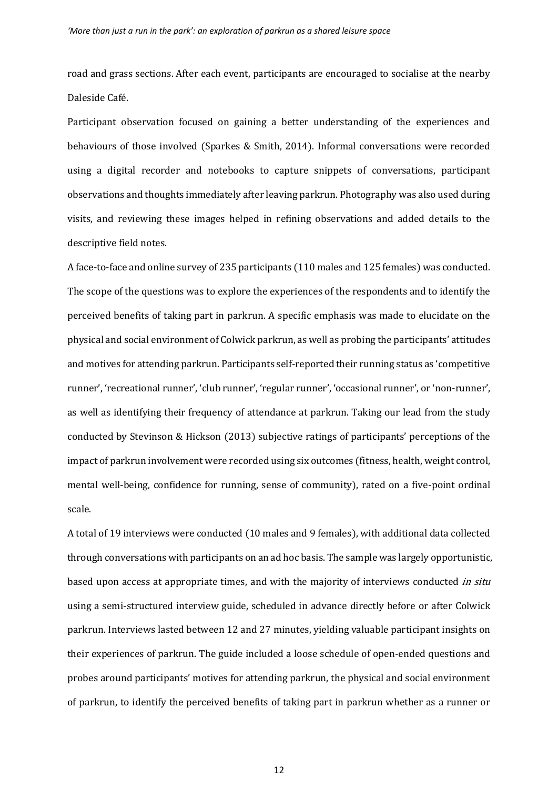road and grass sections. After each event, participants are encouraged to socialise at the nearby Daleside Café.

Participant observation focused on gaining a better understanding of the experiences and behaviours of those involved (Sparkes & Smith, 2014). Informal conversations were recorded using a digital recorder and notebooks to capture snippets of conversations, participant observations and thoughts immediately after leaving parkrun. Photography was also used during visits, and reviewing these images helped in refining observations and added details to the descriptive field notes.

A face-to-face and online survey of 235 participants (110 males and 125 females) was conducted. The scope of the questions was to explore the experiences of the respondents and to identify the perceived benefits of taking part in parkrun. A specific emphasis was made to elucidate on the physical and social environment of Colwick parkrun, as well as probing the participants' attitudes and motives for attending parkrun. Participants self-reported their running status as 'competitive runner', 'recreational runner', 'club runner', 'regular runner', 'occasional runner', or 'non-runner', as well as identifying their frequency of attendance at parkrun. Taking our lead from the study conducted by Stevinson & Hickson (2013) subjective ratings of participants' perceptions of the impact of parkrun involvement were recorded using six outcomes (fitness, health, weight control, mental well-being, confidence for running, sense of community), rated on a five-point ordinal scale.

A total of 19 interviews were conducted (10 males and 9 females), with additional data collected through conversations with participants on an ad hoc basis. The sample was largely opportunistic, based upon access at appropriate times, and with the majority of interviews conducted in situ using a semi-structured interview guide, scheduled in advance directly before or after Colwick parkrun. Interviews lasted between 12 and 27 minutes, yielding valuable participant insights on their experiences of parkrun. The guide included a loose schedule of open-ended questions and probes around participants' motives for attending parkrun, the physical and social environment of parkrun, to identify the perceived benefits of taking part in parkrun whether as a runner or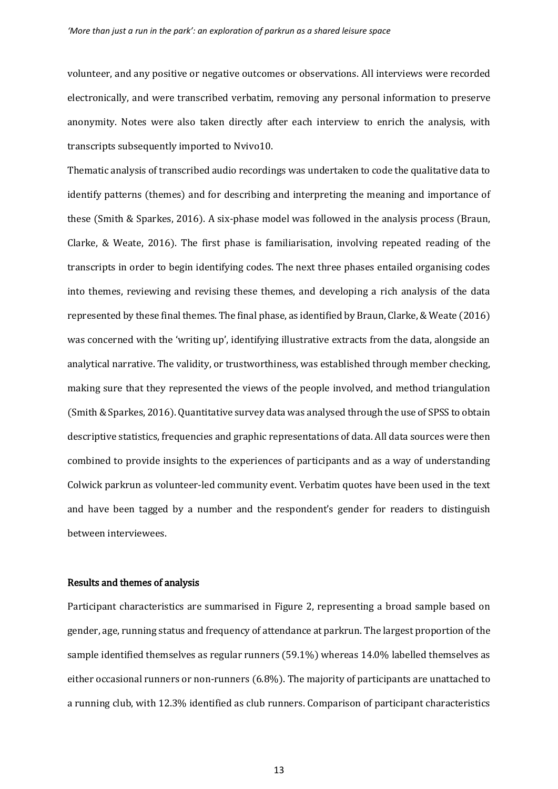volunteer, and any positive or negative outcomes or observations. All interviews were recorded electronically, and were transcribed verbatim, removing any personal information to preserve anonymity. Notes were also taken directly after each interview to enrich the analysis, with transcripts subsequently imported to Nvivo10.

Thematic analysis of transcribed audio recordings was undertaken to code the qualitative data to identify patterns (themes) and for describing and interpreting the meaning and importance of these (Smith & Sparkes, 2016). A six-phase model was followed in the analysis process (Braun, Clarke, & Weate, 2016). The first phase is familiarisation, involving repeated reading of the transcripts in order to begin identifying codes. The next three phases entailed organising codes into themes, reviewing and revising these themes, and developing a rich analysis of the data represented by these final themes. The final phase, as identified by Braun, Clarke, & Weate (2016) was concerned with the 'writing up', identifying illustrative extracts from the data, alongside an analytical narrative. The validity, or trustworthiness, was established through member checking, making sure that they represented the views of the people involved, and method triangulation (Smith & Sparkes, 2016). Quantitative survey data was analysed through the use of SPSS to obtain descriptive statistics, frequencies and graphic representations of data. All data sources were then combined to provide insights to the experiences of participants and as a way of understanding Colwick parkrun as volunteer-led community event. Verbatim quotes have been used in the text and have been tagged by a number and the respondent's gender for readers to distinguish between interviewees.

# Results and themes of analysis

Participant characteristics are summarised in Figure 2, representing a broad sample based on gender, age, running status and frequency of attendance at parkrun. The largest proportion of the sample identified themselves as regular runners (59.1%) whereas 14.0% labelled themselves as either occasional runners or non-runners (6.8%). The majority of participants are unattached to a running club, with 12.3% identified as club runners. Comparison of participant characteristics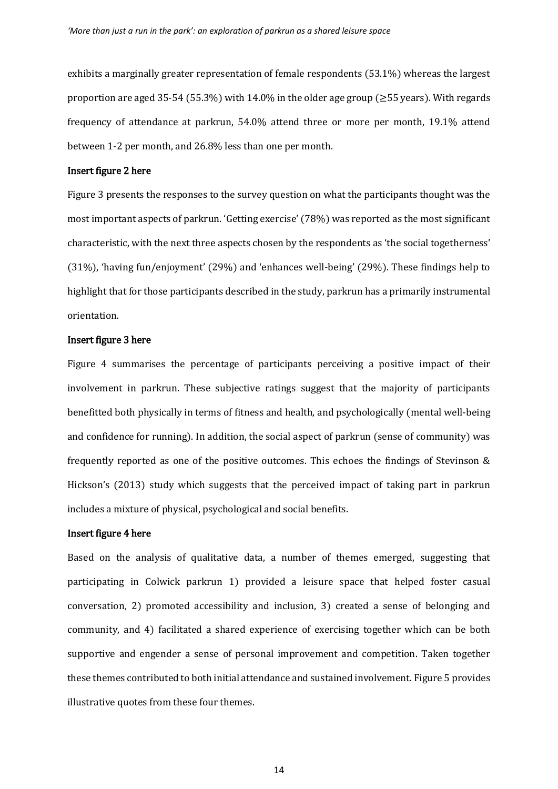exhibits a marginally greater representation of female respondents (53.1%) whereas the largest proportion are aged 35-54 (55.3%) with 14.0% in the older age group ( $\geq$ 55 years). With regards frequency of attendance at parkrun, 54.0% attend three or more per month, 19.1% attend between 1-2 per month, and 26.8% less than one per month.

# Insert figure 2 here

Figure 3 presents the responses to the survey question on what the participants thought was the most important aspects of parkrun. 'Getting exercise' (78%) was reported as the most significant characteristic, with the next three aspects chosen by the respondents as 'the social togetherness' (31%), 'having fun/enjoyment' (29%) and 'enhances well-being' (29%). These findings help to highlight that for those participants described in the study, parkrun has a primarily instrumental orientation.

# Insert figure 3 here

Figure 4 summarises the percentage of participants perceiving a positive impact of their involvement in parkrun. These subjective ratings suggest that the majority of participants benefitted both physically in terms of fitness and health, and psychologically (mental well-being and confidence for running). In addition, the social aspect of parkrun (sense of community) was frequently reported as one of the positive outcomes. This echoes the findings of Stevinson & Hickson's (2013) study which suggests that the perceived impact of taking part in parkrun includes a mixture of physical, psychological and social benefits.

# Insert figure 4 here

Based on the analysis of qualitative data, a number of themes emerged, suggesting that participating in Colwick parkrun 1) provided a leisure space that helped foster casual conversation, 2) promoted accessibility and inclusion, 3) created a sense of belonging and community, and 4) facilitated a shared experience of exercising together which can be both supportive and engender a sense of personal improvement and competition. Taken together these themes contributed to both initial attendance and sustained involvement. Figure 5 provides illustrative quotes from these four themes.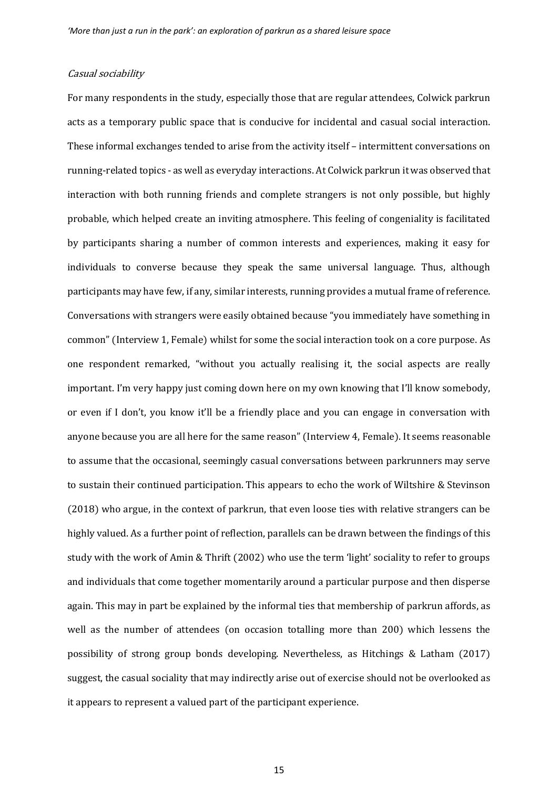# Casual sociability

For many respondents in the study, especially those that are regular attendees, Colwick parkrun acts as a temporary public space that is conducive for incidental and casual social interaction. These informal exchanges tended to arise from the activity itself – intermittent conversations on running-related topics - as well as everyday interactions. At Colwick parkrun it was observed that interaction with both running friends and complete strangers is not only possible, but highly probable, which helped create an inviting atmosphere. This feeling of congeniality is facilitated by participants sharing a number of common interests and experiences, making it easy for individuals to converse because they speak the same universal language. Thus, although participants may have few, if any, similar interests, running provides a mutual frame of reference. Conversations with strangers were easily obtained because "you immediately have something in common" (Interview 1, Female) whilst for some the social interaction took on a core purpose. As one respondent remarked, "without you actually realising it, the social aspects are really important. I'm very happy just coming down here on my own knowing that I'll know somebody, or even if I don't, you know it'll be a friendly place and you can engage in conversation with anyone because you are all here for the same reason" (Interview 4, Female). It seems reasonable to assume that the occasional, seemingly casual conversations between parkrunners may serve to sustain their continued participation. This appears to echo the work of Wiltshire & Stevinson (2018) who argue, in the context of parkrun, that even loose ties with relative strangers can be highly valued. As a further point of reflection, parallels can be drawn between the findings of this study with the work of Amin & Thrift (2002) who use the term 'light' sociality to refer to groups and individuals that come together momentarily around a particular purpose and then disperse again. This may in part be explained by the informal ties that membership of parkrun affords, as well as the number of attendees (on occasion totalling more than 200) which lessens the possibility of strong group bonds developing. Nevertheless, as Hitchings & Latham (2017) suggest, the casual sociality that may indirectly arise out of exercise should not be overlooked as it appears to represent a valued part of the participant experience.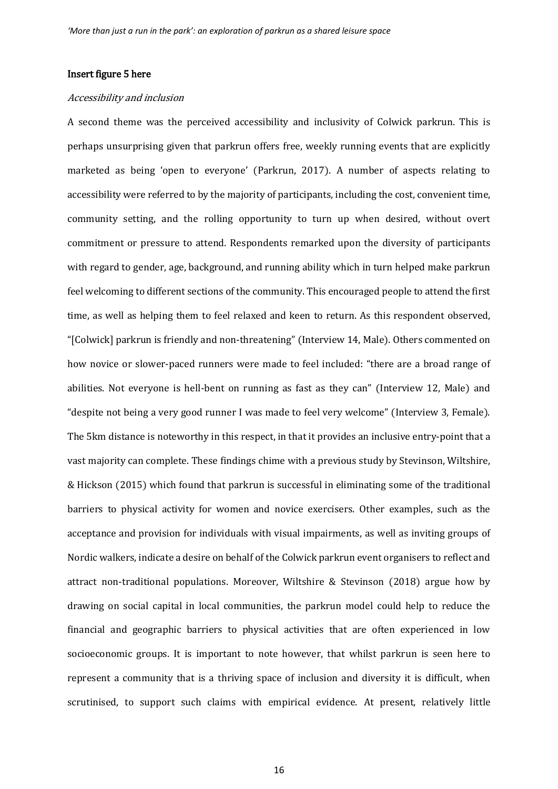# Insert figure 5 here

#### Accessibility and inclusion

A second theme was the perceived accessibility and inclusivity of Colwick parkrun. This is perhaps unsurprising given that parkrun offers free, weekly running events that are explicitly marketed as being 'open to everyone' (Parkrun, 2017). A number of aspects relating to accessibility were referred to by the majority of participants, including the cost, convenient time, community setting, and the rolling opportunity to turn up when desired, without overt commitment or pressure to attend. Respondents remarked upon the diversity of participants with regard to gender, age, background, and running ability which in turn helped make parkrun feel welcoming to different sections of the community. This encouraged people to attend the first time, as well as helping them to feel relaxed and keen to return. As this respondent observed, "[Colwick] parkrun is friendly and non-threatening" (Interview 14, Male). Others commented on how novice or slower-paced runners were made to feel included: "there are a broad range of abilities. Not everyone is hell-bent on running as fast as they can" (Interview 12, Male) and "despite not being a very good runner I was made to feel very welcome" (Interview 3, Female). The 5km distance is noteworthy in this respect, in that it provides an inclusive entry-point that a vast majority can complete. These findings chime with a previous study by Stevinson, Wiltshire, & Hickson (2015) which found that parkrun is successful in eliminating some of the traditional barriers to physical activity for women and novice exercisers. Other examples, such as the acceptance and provision for individuals with visual impairments, as well as inviting groups of Nordic walkers, indicate a desire on behalf of the Colwick parkrun event organisers to reflect and attract non-traditional populations. Moreover, Wiltshire & Stevinson (2018) argue how by drawing on social capital in local communities, the parkrun model could help to reduce the financial and geographic barriers to physical activities that are often experienced in low socioeconomic groups. It is important to note however, that whilst parkrun is seen here to represent a community that is a thriving space of inclusion and diversity it is difficult, when scrutinised, to support such claims with empirical evidence. At present, relatively little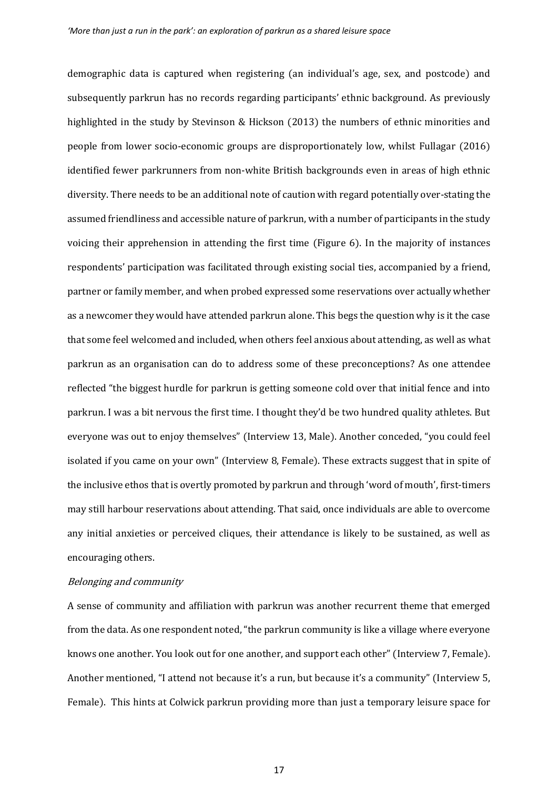demographic data is captured when registering (an individual's age, sex, and postcode) and subsequently parkrun has no records regarding participants' ethnic background. As previously highlighted in the study by Stevinson & Hickson (2013) the numbers of ethnic minorities and people from lower socio-economic groups are disproportionately low, whilst Fullagar (2016) identified fewer parkrunners from non-white British backgrounds even in areas of high ethnic diversity. There needs to be an additional note of caution with regard potentially over-stating the assumed friendliness and accessible nature of parkrun, with a number of participants in the study voicing their apprehension in attending the first time (Figure 6). In the majority of instances respondents' participation was facilitated through existing social ties, accompanied by a friend, partner or family member, and when probed expressed some reservations over actually whether as a newcomer they would have attended parkrun alone. This begs the question why is it the case that some feel welcomed and included, when others feel anxious about attending, as well as what parkrun as an organisation can do to address some of these preconceptions? As one attendee reflected "the biggest hurdle for parkrun is getting someone cold over that initial fence and into parkrun. I was a bit nervous the first time. I thought they'd be two hundred quality athletes. But everyone was out to enjoy themselves" (Interview 13, Male). Another conceded, "you could feel isolated if you came on your own" (Interview 8, Female). These extracts suggest that in spite of the inclusive ethos that is overtly promoted by parkrun and through 'word of mouth', first-timers may still harbour reservations about attending. That said, once individuals are able to overcome any initial anxieties or perceived cliques, their attendance is likely to be sustained, as well as encouraging others.

# Belonging and community

A sense of community and affiliation with parkrun was another recurrent theme that emerged from the data. As one respondent noted, "the parkrun community is like a village where everyone knows one another. You look out for one another, and support each other" (Interview 7, Female). Another mentioned, "I attend not because it's a run, but because it's a community" (Interview 5, Female). This hints at Colwick parkrun providing more than just a temporary leisure space for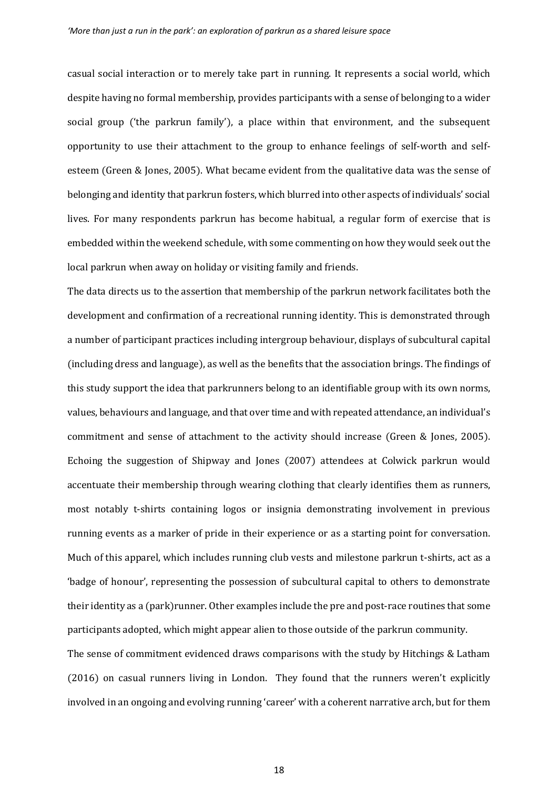casual social interaction or to merely take part in running. It represents a social world, which despite having no formal membership, provides participants with a sense of belonging to a wider social group ('the parkrun family'), a place within that environment, and the subsequent opportunity to use their attachment to the group to enhance feelings of self-worth and selfesteem (Green & Jones, 2005). What became evident from the qualitative data was the sense of belonging and identity that parkrun fosters, which blurred into other aspects of individuals' social lives. For many respondents parkrun has become habitual, a regular form of exercise that is embedded within the weekend schedule, with some commenting on how they would seek out the local parkrun when away on holiday or visiting family and friends.

The data directs us to the assertion that membership of the parkrun network facilitates both the development and confirmation of a recreational running identity. This is demonstrated through a number of participant practices including intergroup behaviour, displays of subcultural capital (including dress and language), as well as the benefits that the association brings. The findings of this study support the idea that parkrunners belong to an identifiable group with its own norms, values, behaviours and language, and that over time and with repeated attendance, an individual's commitment and sense of attachment to the activity should increase (Green & Jones, 2005). Echoing the suggestion of Shipway and Jones (2007) attendees at Colwick parkrun would accentuate their membership through wearing clothing that clearly identifies them as runners, most notably t-shirts containing logos or insignia demonstrating involvement in previous running events as a marker of pride in their experience or as a starting point for conversation. Much of this apparel, which includes running club vests and milestone parkrun t-shirts, act as a 'badge of honour', representing the possession of subcultural capital to others to demonstrate their identity as a (park)runner. Other examples include the pre and post-race routines that some participants adopted, which might appear alien to those outside of the parkrun community.

The sense of commitment evidenced draws comparisons with the study by Hitchings & Latham (2016) on casual runners living in London. They found that the runners weren't explicitly involved in an ongoing and evolving running 'career' with a coherent narrative arch, but for them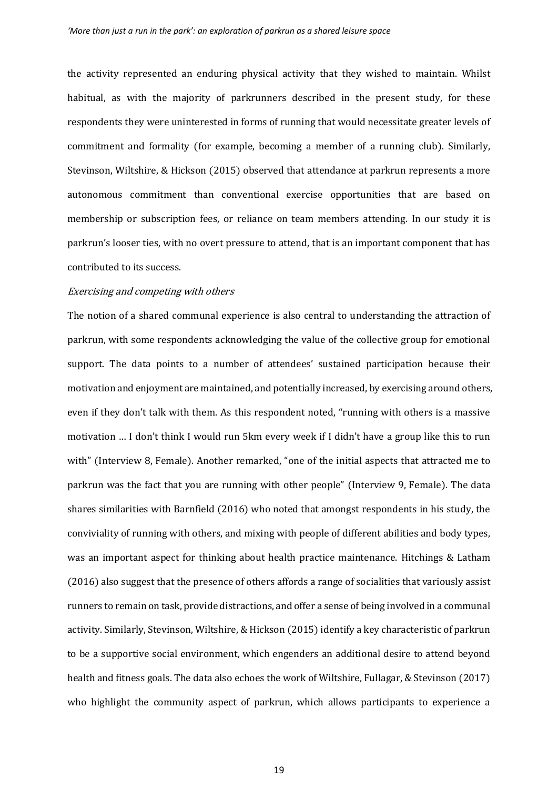the activity represented an enduring physical activity that they wished to maintain. Whilst habitual, as with the majority of parkrunners described in the present study, for these respondents they were uninterested in forms of running that would necessitate greater levels of commitment and formality (for example, becoming a member of a running club). Similarly, Stevinson, Wiltshire, & Hickson (2015) observed that attendance at parkrun represents a more autonomous commitment than conventional exercise opportunities that are based on membership or subscription fees, or reliance on team members attending. In our study it is parkrun's looser ties, with no overt pressure to attend, that is an important component that has contributed to its success.

# Exercising and competing with others

The notion of a shared communal experience is also central to understanding the attraction of parkrun, with some respondents acknowledging the value of the collective group for emotional support. The data points to a number of attendees' sustained participation because their motivation and enjoyment are maintained, and potentially increased, by exercising around others, even if they don't talk with them. As this respondent noted, "running with others is a massive motivation … I don't think I would run 5km every week if I didn't have a group like this to run with" (Interview 8, Female). Another remarked, "one of the initial aspects that attracted me to parkrun was the fact that you are running with other people" (Interview 9, Female). The data shares similarities with Barnfield (2016) who noted that amongst respondents in his study, the conviviality of running with others, and mixing with people of different abilities and body types, was an important aspect for thinking about health practice maintenance. Hitchings & Latham (2016) also suggest that the presence of others affords a range of socialities that variously assist runners to remain on task, provide distractions, and offer a sense of being involved in a communal activity. Similarly, Stevinson, Wiltshire, & Hickson (2015) identify a key characteristic of parkrun to be a supportive social environment, which engenders an additional desire to attend beyond health and fitness goals. The data also echoes the work of Wiltshire, Fullagar, & Stevinson (2017) who highlight the community aspect of parkrun, which allows participants to experience a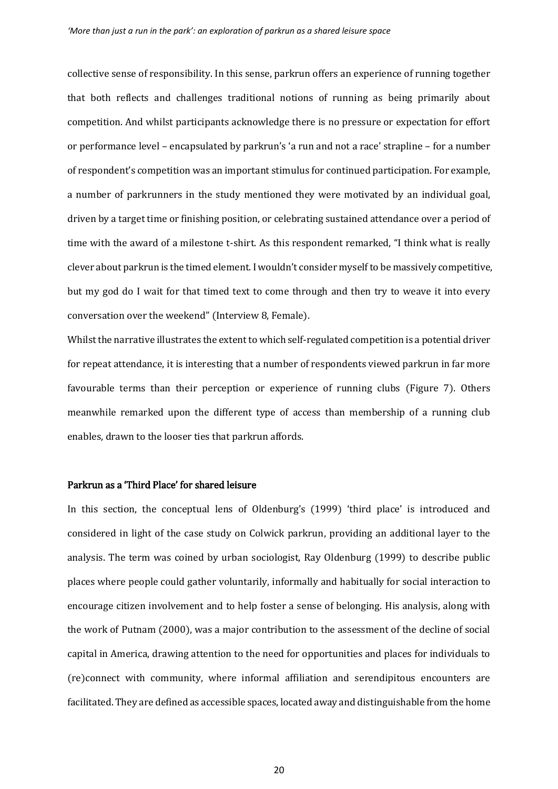collective sense of responsibility. In this sense, parkrun offers an experience of running together that both reflects and challenges traditional notions of running as being primarily about competition. And whilst participants acknowledge there is no pressure or expectation for effort or performance level – encapsulated by parkrun's 'a run and not a race' strapline – for a number of respondent's competition was an important stimulus for continued participation. For example, a number of parkrunners in the study mentioned they were motivated by an individual goal, driven by a target time or finishing position, or celebrating sustained attendance over a period of time with the award of a milestone t-shirt. As this respondent remarked, "I think what is really clever about parkrun is the timed element. I wouldn't consider myself to be massively competitive, but my god do I wait for that timed text to come through and then try to weave it into every conversation over the weekend" (Interview 8, Female).

Whilst the narrative illustrates the extent to which self-regulated competition is a potential driver for repeat attendance, it is interesting that a number of respondents viewed parkrun in far more favourable terms than their perception or experience of running clubs (Figure 7). Others meanwhile remarked upon the different type of access than membership of a running club enables, drawn to the looser ties that parkrun affords.

#### Parkrun as a 'Third Place' for shared leisure

In this section, the conceptual lens of Oldenburg's (1999) 'third place' is introduced and considered in light of the case study on Colwick parkrun, providing an additional layer to the analysis. The term was coined by urban sociologist, Ray Oldenburg (1999) to describe public places where people could gather voluntarily, informally and habitually for social interaction to encourage citizen involvement and to help foster a sense of belonging. His analysis, along with the work of Putnam (2000), was a major contribution to the assessment of the decline of social capital in America, drawing attention to the need for opportunities and places for individuals to (re)connect with community, where informal affiliation and serendipitous encounters are facilitated. They are defined as accessible spaces, located away and distinguishable from the home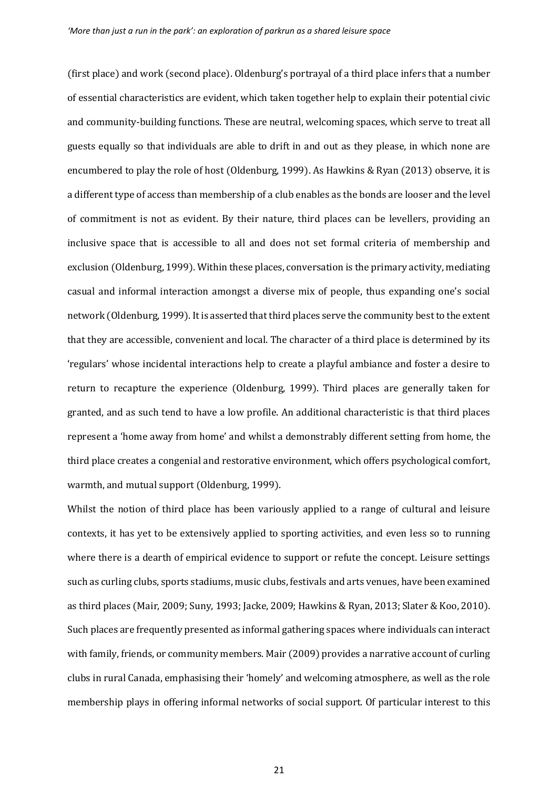(first place) and work (second place). Oldenburg's portrayal of a third place infers that a number of essential characteristics are evident, which taken together help to explain their potential civic and community-building functions. These are neutral, welcoming spaces, which serve to treat all guests equally so that individuals are able to drift in and out as they please, in which none are encumbered to play the role of host (Oldenburg, 1999). As Hawkins & Ryan (2013) observe, it is a different type of access than membership of a club enables as the bonds are looser and the level of commitment is not as evident. By their nature, third places can be levellers, providing an inclusive space that is accessible to all and does not set formal criteria of membership and exclusion (Oldenburg, 1999). Within these places, conversation is the primary activity, mediating casual and informal interaction amongst a diverse mix of people, thus expanding one's social network (Oldenburg, 1999). It is asserted that third places serve the community best to the extent that they are accessible, convenient and local. The character of a third place is determined by its 'regulars' whose incidental interactions help to create a playful ambiance and foster a desire to return to recapture the experience (Oldenburg, 1999). Third places are generally taken for granted, and as such tend to have a low profile. An additional characteristic is that third places represent a 'home away from home' and whilst a demonstrably different setting from home, the third place creates a congenial and restorative environment, which offers psychological comfort, warmth, and mutual support (Oldenburg, 1999).

Whilst the notion of third place has been variously applied to a range of cultural and leisure contexts, it has yet to be extensively applied to sporting activities, and even less so to running where there is a dearth of empirical evidence to support or refute the concept. Leisure settings such as curling clubs, sports stadiums, music clubs, festivals and arts venues, have been examined as third places (Mair, 2009; Suny, 1993; Jacke, 2009; Hawkins & Ryan, 2013; Slater & Koo, 2010). Such places are frequently presented as informal gathering spaces where individuals can interact with family, friends, or community members. Mair (2009) provides a narrative account of curling clubs in rural Canada, emphasising their 'homely' and welcoming atmosphere, as well as the role membership plays in offering informal networks of social support. Of particular interest to this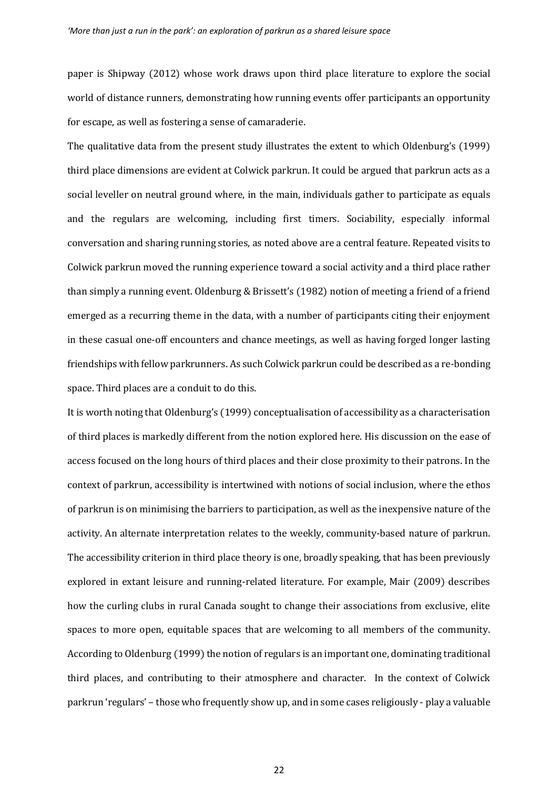paper is Shipway (2012) whose work draws upon third place literature to explore the social world of distance runners, demonstrating how running events offer participants an opportunity for escape, as well as fostering a sense of camaraderie.

The qualitative data from the present study illustrates the extent to which Oldenburg's (1999) third place dimensions are evident at Colwick parkrun. It could be argued that parkrun acts as a social leveller on neutral ground where, in the main, individuals gather to participate as equals and the regulars are welcoming, including first timers. Sociability, especially informal conversation and sharing running stories, as noted above are a central feature. Repeated visits to Colwick parkrun moved the running experience toward a social activity and a third place rather than simply a running event. Oldenburg & Brissett's (1982) notion of meeting a friend of a friend emerged as a recurring theme in the data, with a number of participants citing their enjoyment in these casual one-off encounters and chance meetings, as well as having forged longer lasting friendships with fellow parkrunners. As such Colwick parkrun could be described as a re-bonding space. Third places are a conduit to do this.

It is worth noting that Oldenburg's (1999) conceptualisation of accessibility as a characterisation of third places is markedly different from the notion explored here. His discussion on the ease of access focused on the long hours of third places and their close proximity to their patrons. In the context of parkrun, accessibility is intertwined with notions of social inclusion, where the ethos of parkrun is on minimising the barriers to participation, as well as the inexpensive nature of the activity. An alternate interpretation relates to the weekly, community-based nature of parkrun. The accessibility criterion in third place theory is one, broadly speaking, that has been previously explored in extant leisure and running-related literature. For example, Mair (2009) describes how the curling clubs in rural Canada sought to change their associations from exclusive, elite spaces to more open, equitable spaces that are welcoming to all members of the community. According to Oldenburg (1999) the notion of regulars is an important one, dominating traditional third places, and contributing to their atmosphere and character. In the context of Colwick parkrun 'regulars' – those who frequently show up, and in some cases religiously - play a valuable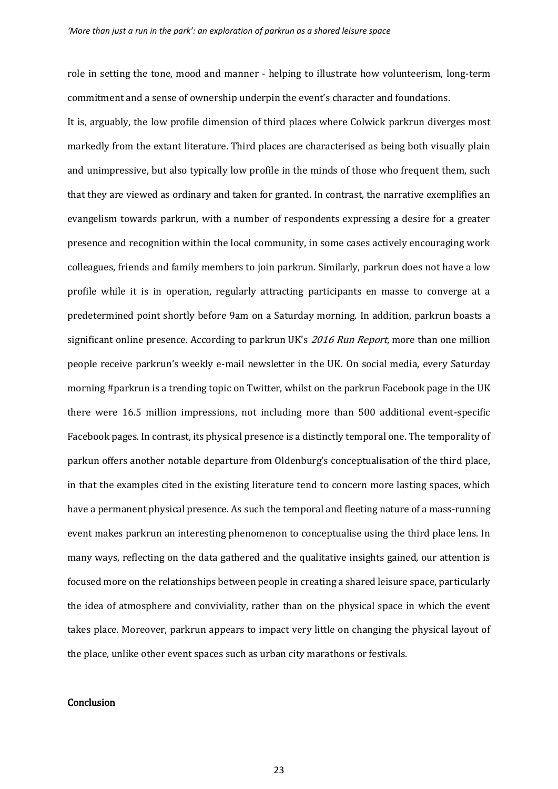role in setting the tone, mood and manner - helping to illustrate how volunteerism, long-term commitment and a sense of ownership underpin the event's character and foundations.

It is, arguably, the low profile dimension of third places where Colwick parkrun diverges most markedly from the extant literature. Third places are characterised as being both visually plain and unimpressive, but also typically low profile in the minds of those who frequent them, such that they are viewed as ordinary and taken for granted. In contrast, the narrative exemplifies an evangelism towards parkrun, with a number of respondents expressing a desire for a greater presence and recognition within the local community, in some cases actively encouraging work colleagues, friends and family members to join parkrun. Similarly, parkrun does not have a low profile while it is in operation, regularly attracting participants en masse to converge at a predetermined point shortly before 9am on a Saturday morning. In addition, parkrun boasts a significant online presence. According to parkrun UK's 2016 Run Report, more than one million people receive parkrun's weekly e-mail newsletter in the UK. On social media, every Saturday morning #parkrun is a trending topic on Twitter, whilst on the parkrun Facebook page in the UK there were 16.5 million impressions, not including more than 500 additional event-specific Facebook pages. In contrast, its physical presence is a distinctly temporal one. The temporality of parkun offers another notable departure from Oldenburg's conceptualisation of the third place, in that the examples cited in the existing literature tend to concern more lasting spaces, which have a permanent physical presence. As such the temporal and fleeting nature of a mass-running event makes parkrun an interesting phenomenon to conceptualise using the third place lens. In many ways, reflecting on the data gathered and the qualitative insights gained, our attention is focused more on the relationships between people in creating a shared leisure space, particularly the idea of atmosphere and conviviality, rather than on the physical space in which the event takes place. Moreover, parkrun appears to impact very little on changing the physical layout of the place, unlike other event spaces such as urban city marathons or festivals.

# **Conclusion**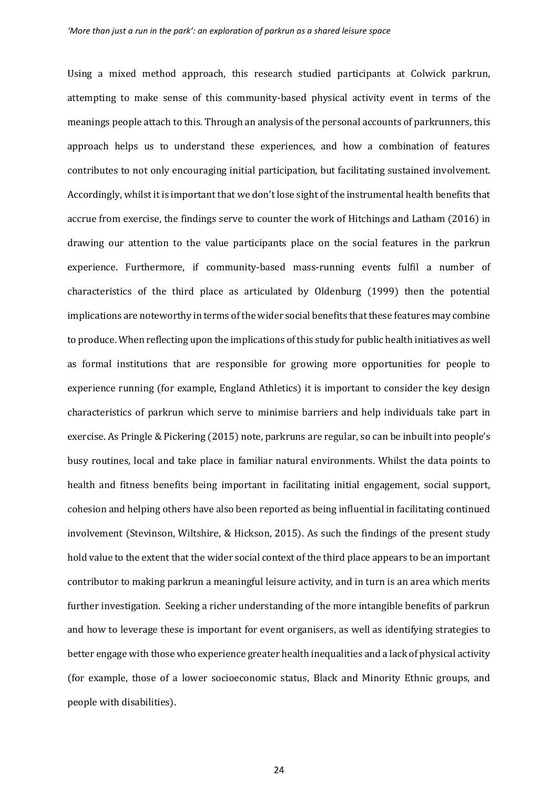Using a mixed method approach, this research studied participants at Colwick parkrun, attempting to make sense of this community-based physical activity event in terms of the meanings people attach to this. Through an analysis of the personal accounts of parkrunners, this approach helps us to understand these experiences, and how a combination of features contributes to not only encouraging initial participation, but facilitating sustained involvement. Accordingly, whilst it is important that we don't lose sight of the instrumental health benefits that accrue from exercise, the findings serve to counter the work of Hitchings and Latham (2016) in drawing our attention to the value participants place on the social features in the parkrun experience. Furthermore, if community-based mass-running events fulfil a number of characteristics of the third place as articulated by Oldenburg (1999) then the potential implications are noteworthy in terms of the wider social benefits that these features may combine to produce. When reflecting upon the implications of this study for public health initiatives as well as formal institutions that are responsible for growing more opportunities for people to experience running (for example, England Athletics) it is important to consider the key design characteristics of parkrun which serve to minimise barriers and help individuals take part in exercise. As Pringle & Pickering (2015) note, parkruns are regular, so can be inbuilt into people's busy routines, local and take place in familiar natural environments. Whilst the data points to health and fitness benefits being important in facilitating initial engagement, social support, cohesion and helping others have also been reported as being influential in facilitating continued involvement (Stevinson, Wiltshire, & Hickson, 2015). As such the findings of the present study hold value to the extent that the wider social context of the third place appears to be an important contributor to making parkrun a meaningful leisure activity, and in turn is an area which merits further investigation. Seeking a richer understanding of the more intangible benefits of parkrun and how to leverage these is important for event organisers, as well as identifying strategies to better engage with those who experience greater health inequalities and a lack of physical activity (for example, those of a lower socioeconomic status, Black and Minority Ethnic groups, and people with disabilities).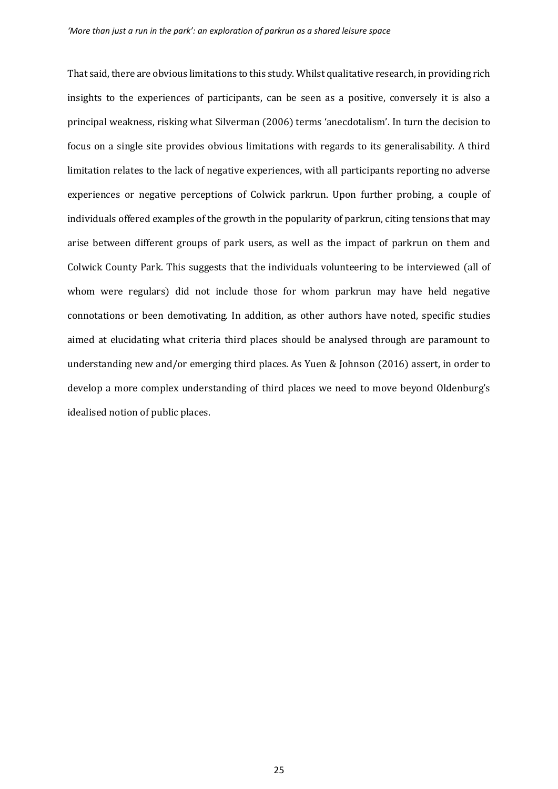That said, there are obvious limitations to this study. Whilst qualitative research, in providing rich insights to the experiences of participants, can be seen as a positive, conversely it is also a principal weakness, risking what Silverman (2006) terms 'anecdotalism'. In turn the decision to focus on a single site provides obvious limitations with regards to its generalisability. A third limitation relates to the lack of negative experiences, with all participants reporting no adverse experiences or negative perceptions of Colwick parkrun. Upon further probing, a couple of individuals offered examples of the growth in the popularity of parkrun, citing tensions that may arise between different groups of park users, as well as the impact of parkrun on them and Colwick County Park. This suggests that the individuals volunteering to be interviewed (all of whom were regulars) did not include those for whom parkrun may have held negative connotations or been demotivating. In addition, as other authors have noted, specific studies aimed at elucidating what criteria third places should be analysed through are paramount to understanding new and/or emerging third places. As Yuen & Johnson (2016) assert, in order to develop a more complex understanding of third places we need to move beyond Oldenburg's idealised notion of public places.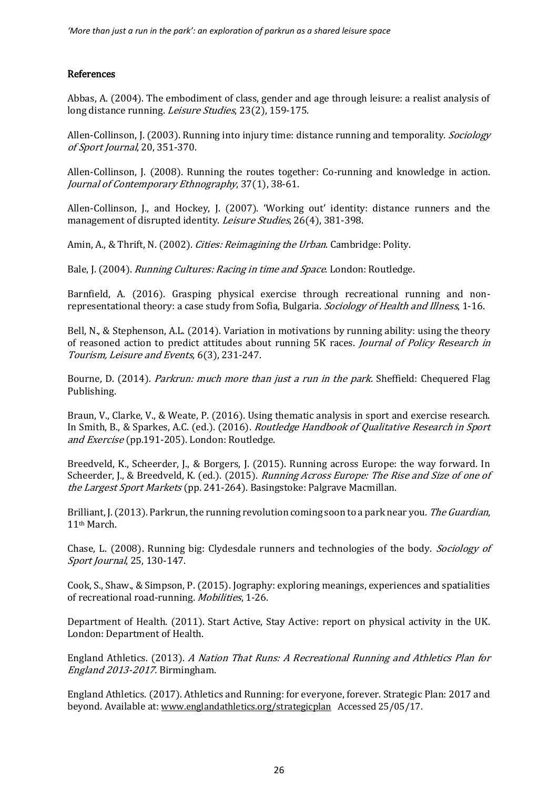# References

Abbas, A. (2004). The embodiment of class, gender and age through leisure: a realist analysis of long distance running. Leisure Studies, 23(2), 159-175.

Allen-Collinson, J. (2003). Running into injury time: distance running and temporality. *Sociology* of Sport Journal, 20, 351-370.

Allen-Collinson, J. (2008). Running the routes together: Co-running and knowledge in action. Journal of Contemporary Ethnography, 37(1), 38-61.

Allen-Collinson, J., and Hockey, J. (2007). 'Working out' identity: distance runners and the management of disrupted identity. *Leisure Studies*, 26(4), 381-398.

Amin, A., & Thrift, N. (2002). *Cities: Reimagining the Urban*. Cambridge: Polity.

Bale, J. (2004). Running Cultures: Racing in time and Space. London: Routledge.

Barnfield, A. (2016). Grasping physical exercise through recreational running and nonrepresentational theory: a case study from Sofia, Bulgaria. Sociology of Health and Illness, 1-16.

Bell, N., & Stephenson, A.L. (2014). Variation in motivations by running ability: using the theory of reasoned action to predict attitudes about running 5K races. Journal of Policy Research in Tourism, Leisure and Events, 6(3), 231-247.

Bourne, D. (2014). *Parkrun: much more than just a run in the park*. Sheffield: Chequered Flag Publishing.

Braun, V., Clarke, V., & Weate, P. (2016). Using thematic analysis in sport and exercise research. In Smith, B., & Sparkes, A.C. (ed.). (2016). *Routledge Handbook of Qualitative Research in Sport* and Exercise (pp.191-205). London: Routledge.

Breedveld, K., Scheerder, J., & Borgers, J. (2015). Running across Europe: the way forward. In Scheerder, J., & Breedveld, K. (ed.). (2015). Running Across Europe: The Rise and Size of one of the Largest Sport Markets (pp. 241-264). Basingstoke: Palgrave Macmillan.

Brilliant, J. (2013). Parkrun, the running revolution coming soon to a park near you. The Guardian, 11th March.

Chase, L. (2008). Running big: Clydesdale runners and technologies of the body. Sociology of Sport Journal, 25, 130-147.

Cook, S., Shaw., & Simpson, P. (2015). Jography: exploring meanings, experiences and spatialities of recreational road-running. Mobilities, 1-26.

Department of Health. (2011). Start Active, Stay Active: report on physical activity in the UK. London: Department of Health.

England Athletics. (2013). A Nation That Runs: A Recreational Running and Athletics Plan for England 2013-2017. Birmingham.

England Athletics. (2017). Athletics and Running: for everyone, forever. Strategic Plan: 2017 and beyond. Available at: [www.englandathletics.org/strategicplan](http://www.englandathletics.org/strategicplan) Accessed 25/05/17.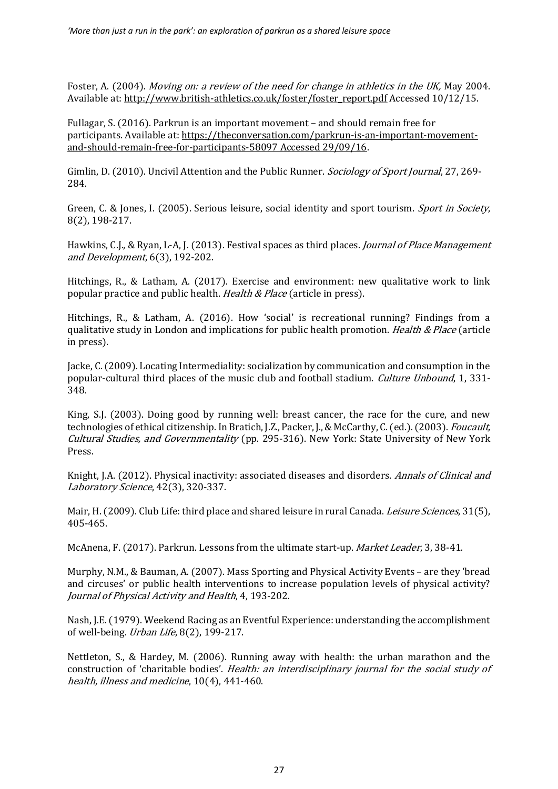Foster, A. (2004). Moving on: a review of the need for change in athletics in the UK, May 2004. Available at[: http://www.british-athletics.co.uk/foster/foster\\_report.pdf](http://www.british-athletics.co.uk/foster/foster_report.pdf) Accessed 10/12/15.

Fullagar, S. (2016). Parkrun is an important movement – and should remain free for participants. Available at: [https://theconversation.com/parkrun-is-an-important-movement](https://theconversation.com/parkrun-is-an-important-movement-and-should-remain-free-for-participants-58097%20Accessed%2029/09/16)[and-should-remain-free-for-participants-58097 Accessed 29/09/16.](https://theconversation.com/parkrun-is-an-important-movement-and-should-remain-free-for-participants-58097%20Accessed%2029/09/16)

Gimlin, D. (2010). Uncivil Attention and the Public Runner. *Sociology of Sport Journal*, 27, 269-284.

Green, C. & Jones, I. (2005). Serious leisure, social identity and sport tourism. *Sport in Society*, 8(2), 198-217.

Hawkins, C.J., & Ryan, L-A, J. (2013). Festival spaces as third places. *Journal of Place Management* and Development, 6(3), 192-202.

Hitchings, R., & Latham, A. (2017). Exercise and environment: new qualitative work to link popular practice and public health. Health & Place (article in press).

Hitchings, R., & Latham, A. (2016). How 'social' is recreational running? Findings from a qualitative study in London and implications for public health promotion. *Health & Place* (article in press).

Jacke, C. (2009). Locating Intermediality: socialization by communication and consumption in the popular-cultural third places of the music club and football stadium. Culture Unbound, 1, 331- 348.

King, S.J. (2003). Doing good by running well: breast cancer, the race for the cure, and new technologies of ethical citizenship. In Bratich, J.Z., Packer, J., & McCarthy, C. (ed.). (2003). Foucault, Cultural Studies, and Governmentality (pp. 295-316). New York: State University of New York Press.

Knight, J.A. (2012). Physical inactivity: associated diseases and disorders. Annals of Clinical and Laboratory Science, 42(3), 320-337.

Mair, H. (2009). Club Life: third place and shared leisure in rural Canada. *Leisure Sciences*, 31(5), 405-465.

McAnena, F. (2017). Parkrun. Lessons from the ultimate start-up. *Market Leader*, 3, 38-41.

Murphy, N.M., & Bauman, A. (2007). Mass Sporting and Physical Activity Events – are they 'bread and circuses' or public health interventions to increase population levels of physical activity? Journal of Physical Activity and Health, 4, 193-202.

Nash, J.E. (1979). Weekend Racing as an Eventful Experience: understanding the accomplishment of well-being. Urban Life, 8(2), 199-217.

Nettleton, S., & Hardey, M. (2006). Running away with health: the urban marathon and the construction of 'charitable bodies'. Health: an interdisciplinary journal for the social study of health, illness and medicine, 10(4), 441-460.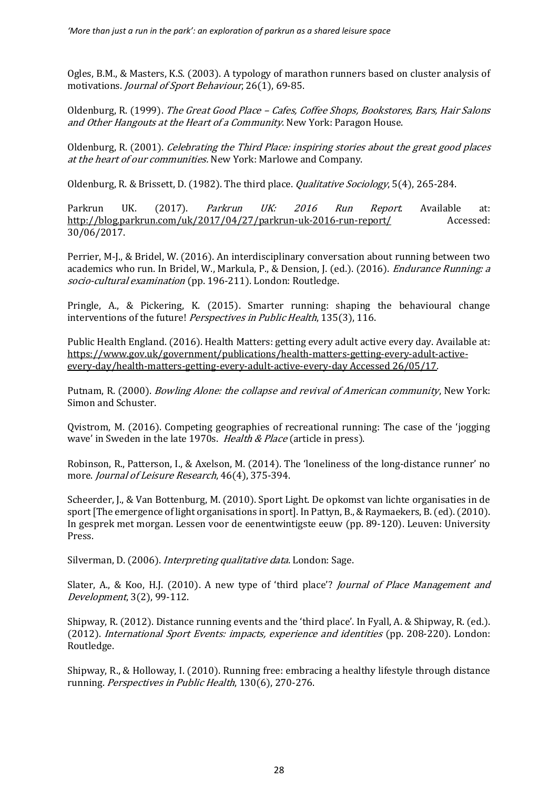Ogles, B.M., & Masters, K.S. (2003). A typology of marathon runners based on cluster analysis of motivations. Journal of Sport Behaviour, 26(1), 69-85.

Oldenburg, R. (1999). The Great Good Place – Cafes, Coffee Shops, Bookstores, Bars, Hair Salons and Other Hangouts at the Heart of a Community. New York: Paragon House.

Oldenburg, R. (2001). Celebrating the Third Place: inspiring stories about the great good places at the heart of our communities. New York: Marlowe and Company.

Oldenburg, R. & Brissett, D. (1982). The third place. *Qualitative Sociology*, 5(4), 265-284.

Parkrun UK. (2017). Parkrun UK: 2016 Run Report. Available at: <http://blog.parkrun.com/uk/2017/04/27/parkrun-uk-2016-run-report/> Accessed: 30/06/2017.

Perrier, M-J., & Bridel, W. (2016). An interdisciplinary conversation about running between two academics who run. In Bridel, W., Markula, P., & Dension, J. (ed.). (2016). Endurance Running: a socio-cultural examination (pp. 196-211). London: Routledge.

Pringle, A., & Pickering, K. (2015). Smarter running: shaping the behavioural change interventions of the future! *Perspectives in Public Health*, 135(3), 116.

Public Health England. (2016). Health Matters: getting every adult active every day. Available at: [https://www.gov.uk/government/publications/health-matters-getting-every-adult-active](https://www.gov.uk/government/publications/health-matters-getting-every-adult-active-every-day/health-matters-getting-every-adult-active-every-day%20Accessed%2026/05/17)[every-day/health-matters-getting-every-adult-active-every-day Accessed 26/05/17.](https://www.gov.uk/government/publications/health-matters-getting-every-adult-active-every-day/health-matters-getting-every-adult-active-every-day%20Accessed%2026/05/17)

Putnam, R. (2000). Bowling Alone: the collapse and revival of American community, New York: Simon and Schuster.

Qvistrom, M. (2016). Competing geographies of recreational running: The case of the 'jogging wave' in Sweden in the late 1970s. *Health & Place* (article in press).

Robinson, R., Patterson, I., & Axelson, M. (2014). The 'loneliness of the long-distance runner' no more. Journal of Leisure Research, 46(4), 375-394.

Scheerder, J., & Van Bottenburg, M. (2010). Sport Light. De opkomst van lichte organisaties in de sport [The emergence of light organisations in sport]. In Pattyn, B., & Raymaekers, B. (ed). (2010). In gesprek met morgan. Lessen voor de eenentwintigste eeuw (pp. 89-120). Leuven: University Press.

Silverman, D. (2006). *Interpreting qualitative data*, London: Sage.

Slater, A., & Koo, H.J. (2010). A new type of 'third place'? *Journal of Place Management and* Development, 3(2), 99-112.

Shipway, R. (2012). Distance running events and the 'third place'. In Fyall, A. & Shipway, R. (ed.). (2012). International Sport Events: impacts, experience and identities (pp. 208-220). London: Routledge.

Shipway, R., & Holloway, I. (2010). Running free: embracing a healthy lifestyle through distance running. Perspectives in Public Health, 130(6), 270-276.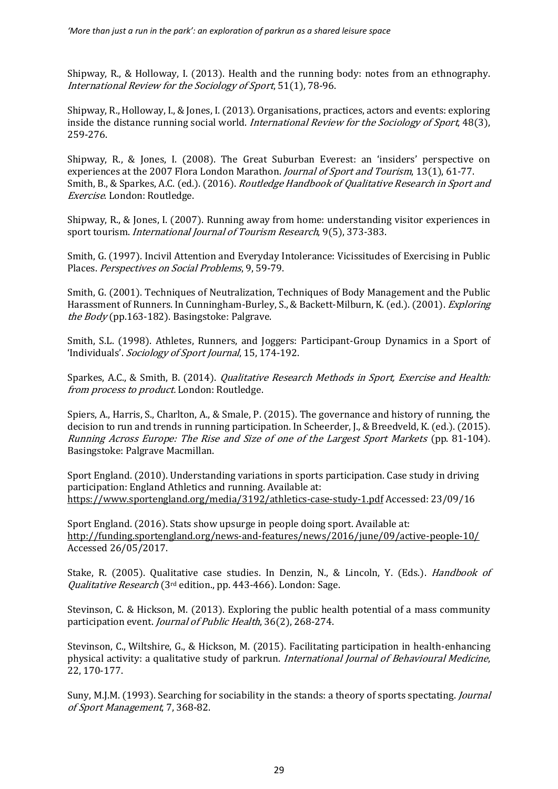Shipway, R., & Holloway, I. (2013). Health and the running body: notes from an ethnography. International Review for the Sociology of Sport, 51(1), 78-96.

Shipway, R., Holloway, I., & Jones, I. (2013). Organisations, practices, actors and events: exploring inside the distance running social world. *International Review for the Sociology of Sport*, 48(3), 259-276.

Shipway, R., & Jones, I. (2008). The Great Suburban Everest: an 'insiders' perspective on experiences at the 2007 Flora London Marathon. *Journal of Sport and Tourism*, 13(1), 61-77. Smith, B., & Sparkes, A.C. (ed.). (2016). Routledge Handbook of Qualitative Research in Sport and Exercise. London: Routledge.

Shipway, R., & Jones, I. (2007). Running away from home: understanding visitor experiences in sport tourism. International Journal of Tourism Research, 9(5), 373-383.

Smith, G. (1997). Incivil Attention and Everyday Intolerance: Vicissitudes of Exercising in Public Places. Perspectives on Social Problems, 9, 59-79.

Smith, G. (2001). Techniques of Neutralization, Techniques of Body Management and the Public Harassment of Runners. In Cunningham-Burley, S., & Backett-Milburn, K. (ed.). (2001). Exploring the Body (pp.163-182). Basingstoke: Palgrave.

Smith, S.L. (1998). Athletes, Runners, and Joggers: Participant-Group Dynamics in a Sport of 'Individuals'. Sociology of Sport Journal, 15, 174-192.

Sparkes, A.C., & Smith, B. (2014). Qualitative Research Methods in Sport, Exercise and Health: from process to product. London: Routledge.

Spiers, A., Harris, S., Charlton, A., & Smale, P. (2015). The governance and history of running, the decision to run and trends in running participation. In Scheerder, J., & Breedveld, K. (ed.). (2015). Running Across Europe: The Rise and Size of one of the Largest Sport Markets (pp. 81-104). Basingstoke: Palgrave Macmillan.

Sport England. (2010). Understanding variations in sports participation. Case study in driving participation: England Athletics and running. Available at: <https://www.sportengland.org/media/3192/athletics-case-study-1.pdf> Accessed: 23/09/16

Sport England. (2016). Stats show upsurge in people doing sport. Available at: <http://funding.sportengland.org/news-and-features/news/2016/june/09/active-people-10/> Accessed 26/05/2017.

Stake, R. (2005). Qualitative case studies. In Denzin, N., & Lincoln, Y. (Eds.). *Handbook of* Qualitative Research (3rd edition., pp. 443-466). London: Sage.

Stevinson, C. & Hickson, M. (2013). Exploring the public health potential of a mass community participation event. Journal of Public Health, 36(2), 268-274.

Stevinson, C., Wiltshire, G., & Hickson, M. (2015). Facilitating participation in health-enhancing physical activity: a qualitative study of parkrun. International Journal of Behavioural Medicine, 22, 170-177.

Suny, M.J.M. (1993). Searching for sociability in the stands: a theory of sports spectating. Journal of Sport Management, 7, 368-82.